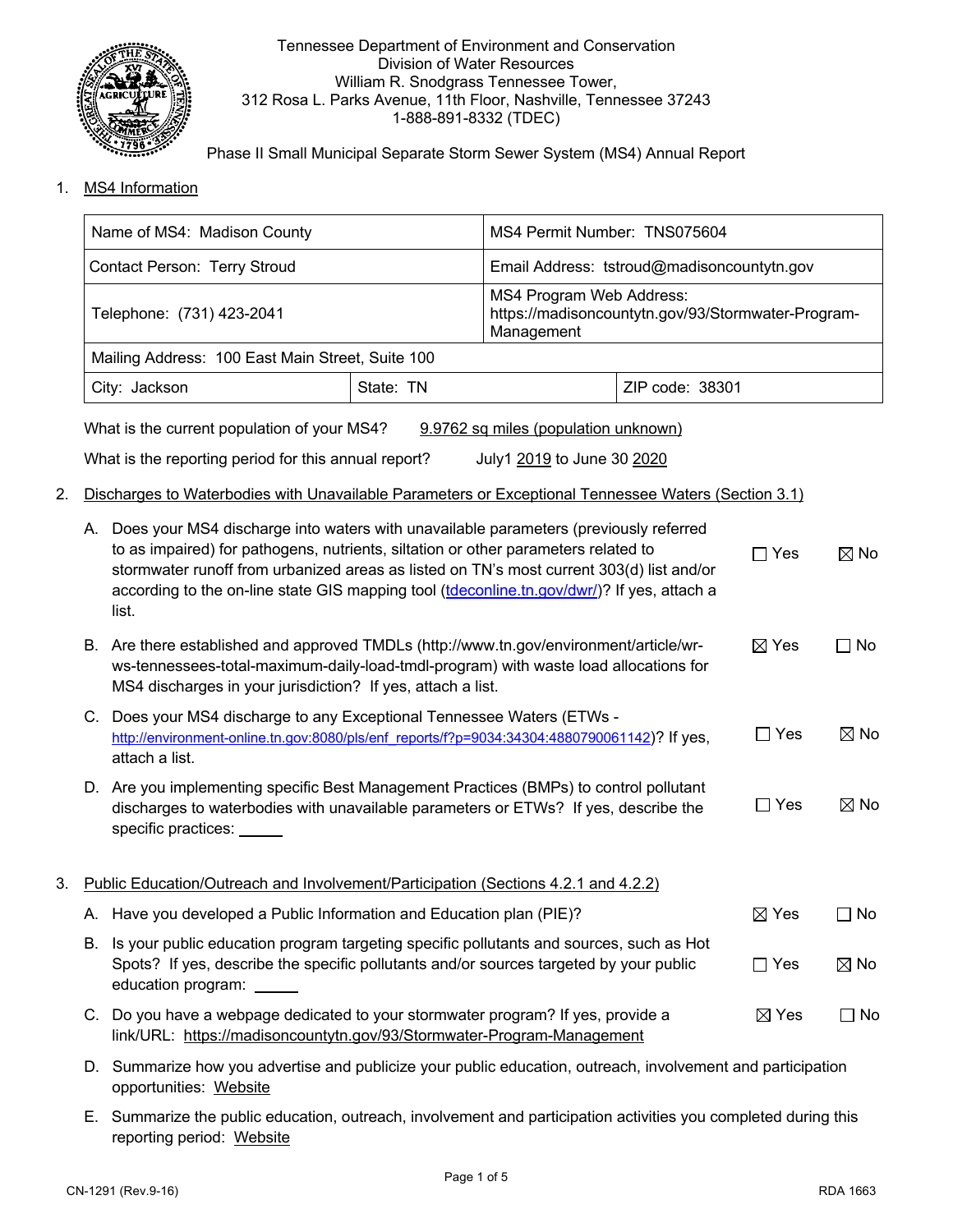

## Tennessee Department of Environment and Conservation Division of Water Resources William R. Snodgrass Tennessee Tower, 312 Rosa L. Parks Avenue, 11th Floor, Nashville, Tennessee 37243 1-888-891-8332 (TDEC)

Phase II Small Municipal Separate Storm Sewer System (MS4) Annual Report

1. MS4 Information

|    |                           | Name of MS4: Madison County                                                                                                                                                                                                                                                                                                                                                      |                                                                                              | MS4 Permit Number: TNS075604               |                 |                 |                |  |
|----|---------------------------|----------------------------------------------------------------------------------------------------------------------------------------------------------------------------------------------------------------------------------------------------------------------------------------------------------------------------------------------------------------------------------|----------------------------------------------------------------------------------------------|--------------------------------------------|-----------------|-----------------|----------------|--|
|    |                           | Contact Person: Terry Stroud                                                                                                                                                                                                                                                                                                                                                     |                                                                                              | Email Address: tstroud@madisoncountytn.gov |                 |                 |                |  |
|    | Telephone: (731) 423-2041 |                                                                                                                                                                                                                                                                                                                                                                                  | MS4 Program Web Address:<br>https://madisoncountytn.gov/93/Stormwater-Program-<br>Management |                                            |                 |                 |                |  |
|    |                           | Mailing Address: 100 East Main Street, Suite 100                                                                                                                                                                                                                                                                                                                                 |                                                                                              |                                            |                 |                 |                |  |
|    |                           | City: Jackson                                                                                                                                                                                                                                                                                                                                                                    | State: TN                                                                                    |                                            | ZIP code: 38301 |                 |                |  |
|    |                           | What is the current population of your MS4?                                                                                                                                                                                                                                                                                                                                      |                                                                                              | 9.9762 sq miles (population unknown)       |                 |                 |                |  |
|    |                           | What is the reporting period for this annual report?                                                                                                                                                                                                                                                                                                                             |                                                                                              | July1 2019 to June 30 2020                 |                 |                 |                |  |
| 2. |                           | Discharges to Waterbodies with Unavailable Parameters or Exceptional Tennessee Waters (Section 3.1)                                                                                                                                                                                                                                                                              |                                                                                              |                                            |                 |                 |                |  |
|    |                           | A. Does your MS4 discharge into waters with unavailable parameters (previously referred<br>to as impaired) for pathogens, nutrients, siltation or other parameters related to<br>stormwater runoff from urbanized areas as listed on TN's most current 303(d) list and/or<br>according to the on-line state GIS mapping tool (tdeconline.tn.gov/dwr/)? If yes, attach a<br>list. |                                                                                              |                                            | $\Box$ Yes      | $\boxtimes$ No  |                |  |
|    |                           | B. Are there established and approved TMDLs (http://www.tn.gov/environment/article/wr-<br>ws-tennessees-total-maximum-daily-load-tmdl-program) with waste load allocations for<br>MS4 discharges in your jurisdiction? If yes, attach a list.                                                                                                                                    |                                                                                              |                                            |                 | $\boxtimes$ Yes | $\Box$ No      |  |
|    |                           | C. Does your MS4 discharge to any Exceptional Tennessee Waters (ETWs -<br>http://environment-online.tn.gov:8080/pls/enf reports/f?p=9034:34304:4880790061142)? If yes,<br>attach a list.                                                                                                                                                                                         |                                                                                              |                                            |                 | $\Box$ Yes      | $\boxtimes$ No |  |
|    |                           | D. Are you implementing specific Best Management Practices (BMPs) to control pollutant<br>discharges to waterbodies with unavailable parameters or ETWs? If yes, describe the<br>specific practices:                                                                                                                                                                             |                                                                                              |                                            |                 | $\Box$ Yes      | $\boxtimes$ No |  |
| 3. |                           | Public Education/Outreach and Involvement/Participation (Sections 4.2.1 and 4.2.2)                                                                                                                                                                                                                                                                                               |                                                                                              |                                            |                 |                 |                |  |
|    |                           | A. Have you developed a Public Information and Education plan (PIE)?                                                                                                                                                                                                                                                                                                             |                                                                                              |                                            |                 | $\boxtimes$ Yes | $\square$ No   |  |
|    | В.                        | Is your public education program targeting specific pollutants and sources, such as Hot<br>Spots? If yes, describe the specific pollutants and/or sources targeted by your public<br>education program: _____                                                                                                                                                                    |                                                                                              |                                            |                 | $\Box$ Yes      | $\boxtimes$ No |  |
|    |                           | C. Do you have a webpage dedicated to your stormwater program? If yes, provide a<br>link/URL: https://madisoncountytn.gov/93/Stormwater-Program-Management                                                                                                                                                                                                                       |                                                                                              |                                            |                 | $\boxtimes$ Yes | $\Box$ No      |  |
|    |                           | D. Summarize how you advertise and publicize your public education, outreach, involvement and participation                                                                                                                                                                                                                                                                      |                                                                                              |                                            |                 |                 |                |  |

- opportunities: Website
- E. Summarize the public education, outreach, involvement and participation activities you completed during this reporting period: Website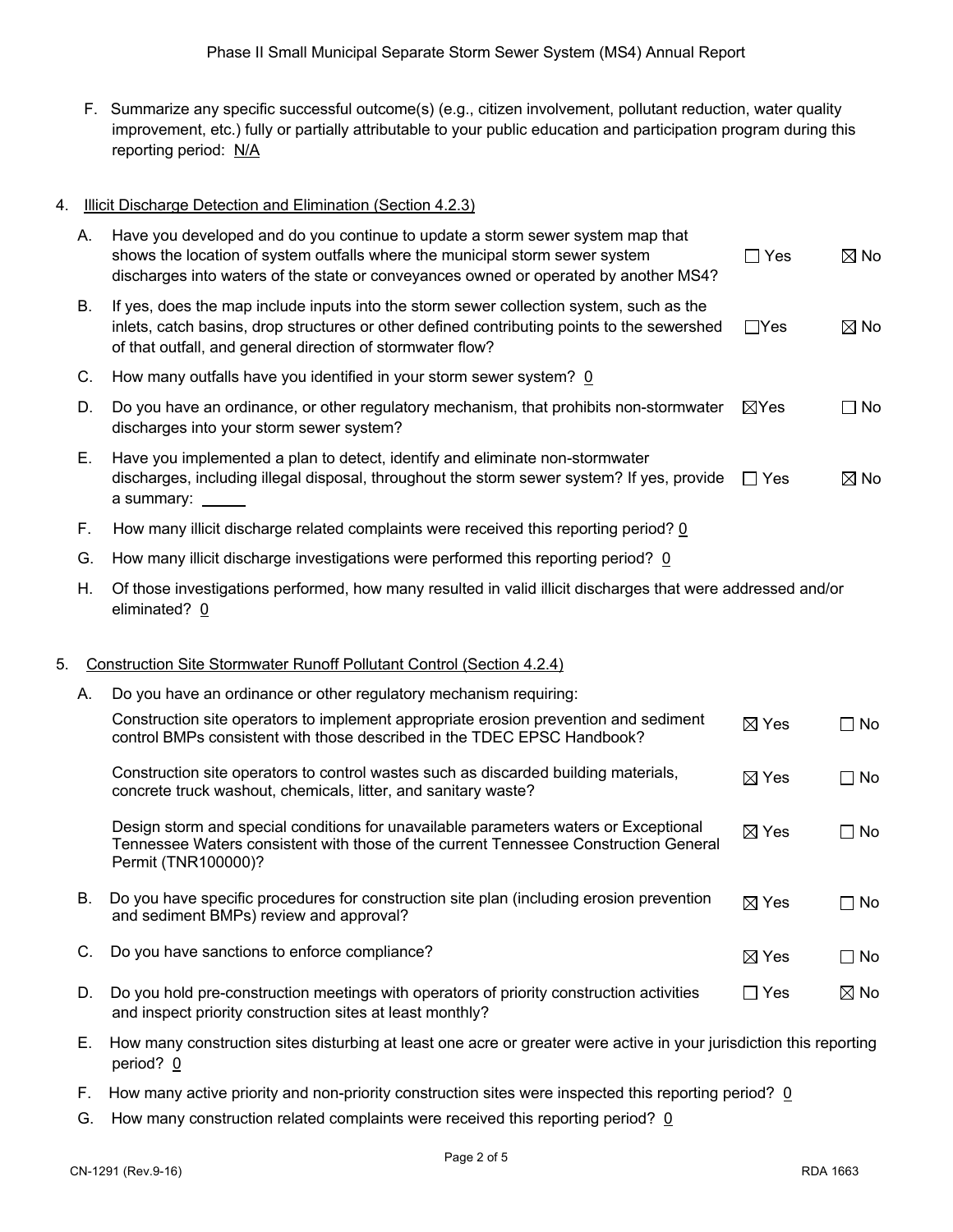- F. Summarize any specific successful outcome(s) (e.g., citizen involvement, pollutant reduction, water quality improvement, etc.) fully or partially attributable to your public education and participation program during this reporting period: N/A
- 4. Illicit Discharge Detection and Elimination (Section 4.2.3)

|    | А. | Have you developed and do you continue to update a storm sewer system map that<br>shows the location of system outfalls where the municipal storm sewer system<br>discharges into waters of the state or conveyances owned or operated by another MS4? | $\square$ Yes   | $\boxtimes$ No |
|----|----|--------------------------------------------------------------------------------------------------------------------------------------------------------------------------------------------------------------------------------------------------------|-----------------|----------------|
|    | В. | If yes, does the map include inputs into the storm sewer collection system, such as the<br>inlets, catch basins, drop structures or other defined contributing points to the sewershed<br>of that outfall, and general direction of stormwater flow?   | $\Box$ Yes      | $\boxtimes$ No |
|    | C. | How many outfalls have you identified in your storm sewer system? 0                                                                                                                                                                                    |                 |                |
|    | D. | Do you have an ordinance, or other regulatory mechanism, that prohibits non-stormwater<br>discharges into your storm sewer system?                                                                                                                     | $\boxtimes$ Yes | $\Box$ No      |
|    | Е. | Have you implemented a plan to detect, identify and eliminate non-stormwater<br>discharges, including illegal disposal, throughout the storm sewer system? If yes, provide<br>a summary:                                                               | $\Box$ Yes      | $\boxtimes$ No |
|    | F. | How many illicit discharge related complaints were received this reporting period? 0                                                                                                                                                                   |                 |                |
|    | G. | How many illicit discharge investigations were performed this reporting period? 0                                                                                                                                                                      |                 |                |
|    | Η. | Of those investigations performed, how many resulted in valid illicit discharges that were addressed and/or<br>eliminated? 0                                                                                                                           |                 |                |
|    |    |                                                                                                                                                                                                                                                        |                 |                |
| 5. |    | Construction Site Stormwater Runoff Pollutant Control (Section 4.2.4)                                                                                                                                                                                  |                 |                |
|    | А. | Do you have an ordinance or other regulatory mechanism requiring:                                                                                                                                                                                      |                 |                |
|    |    | Construction site operators to implement appropriate erosion prevention and sediment<br>control BMPs consistent with those described in the TDEC EPSC Handbook?                                                                                        | $\boxtimes$ Yes | $\Box$ No      |
|    |    | Construction site operators to control wastes such as discarded building materials,<br>concrete truck washout, chemicals, litter, and sanitary waste?                                                                                                  | $\boxtimes$ Yes | $\Box$ No      |
|    |    | Design storm and special conditions for unavailable parameters waters or Exceptional<br>Tennessee Waters consistent with those of the current Tennessee Construction General<br>Permit (TNR100000)?                                                    | $\boxtimes$ Yes | $\Box$ No      |
|    | В. | Do you have specific procedures for construction site plan (including erosion prevention<br>and sediment BMPs) review and approval?                                                                                                                    | $\boxtimes$ Yes | $\Box$ No      |
|    | C. | Do you have sanctions to enforce compliance?                                                                                                                                                                                                           | $\boxtimes$ Yes | $\Box$ No      |

- E. How many construction sites disturbing at least one acre or greater were active in your jurisdiction this reporting period? 0
- F. How many active priority and non-priority construction sites were inspected this reporting period?  $Q$
- G. How many construction related complaints were received this reporting period? 0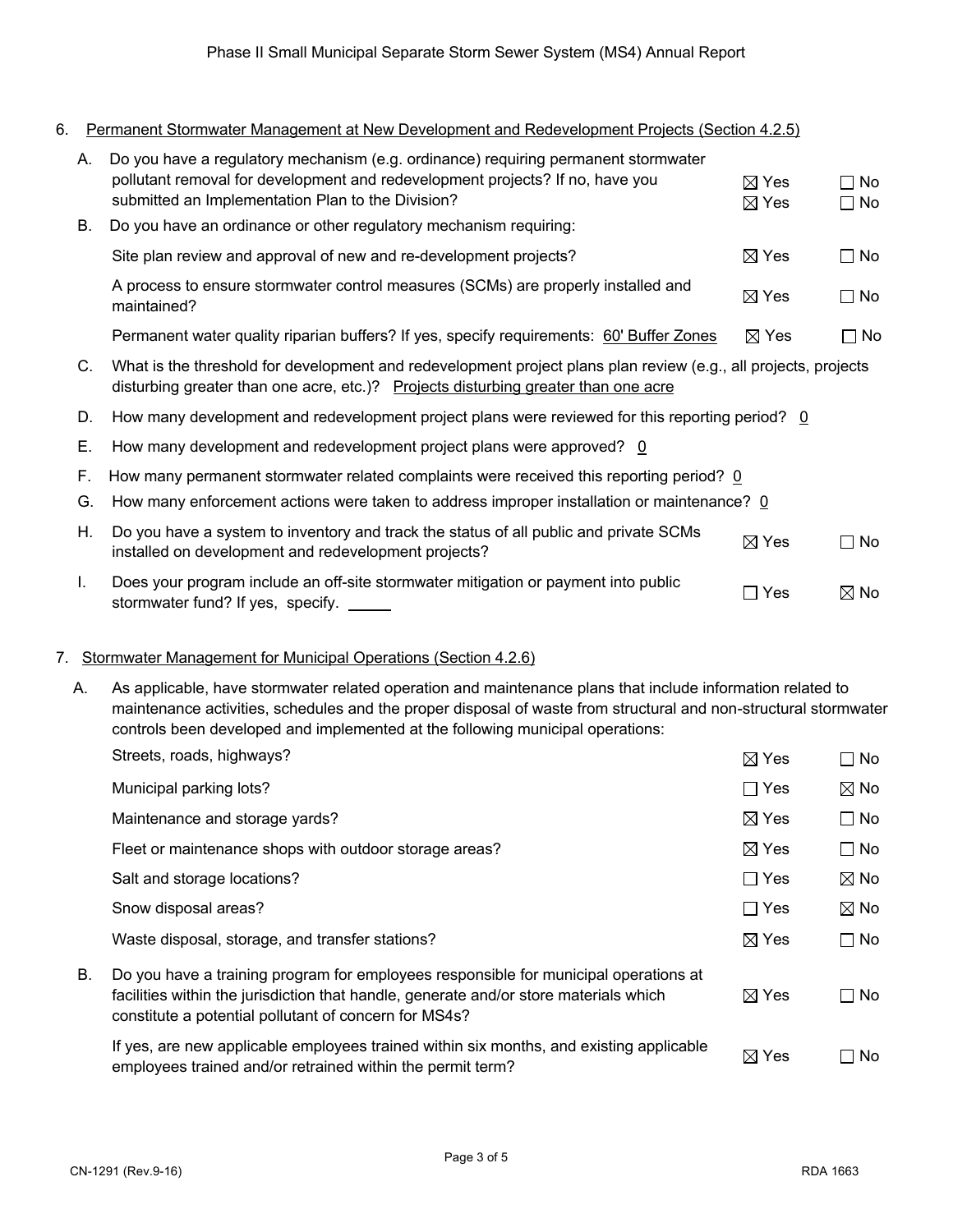6. Permanent Stormwater Management at New Development and Redevelopment Projects (Section 4.2.5)

| А.       | Do you have a regulatory mechanism (e.g. ordinance) requiring permanent stormwater<br>pollutant removal for development and redevelopment projects? If no, have you<br>submitted an Implementation Plan to the Division? | $\boxtimes$ Yes<br>$\boxtimes$ Yes | $\Box$ No<br>$\Box$ No |  |
|----------|--------------------------------------------------------------------------------------------------------------------------------------------------------------------------------------------------------------------------|------------------------------------|------------------------|--|
| В.       | Do you have an ordinance or other regulatory mechanism requiring:                                                                                                                                                        |                                    |                        |  |
|          | Site plan review and approval of new and re-development projects?                                                                                                                                                        | $\boxtimes$ Yes                    | $\Box$ No              |  |
|          | A process to ensure stormwater control measures (SCMs) are properly installed and<br>maintained?                                                                                                                         | $\boxtimes$ Yes                    | $\Box$ No              |  |
|          | Permanent water quality riparian buffers? If yes, specify requirements: 60' Buffer Zones                                                                                                                                 | $\boxtimes$ Yes                    | $\square$ No           |  |
| C.       | What is the threshold for development and redevelopment project plans plan review (e.g., all projects, projects<br>disturbing greater than one acre, etc.)? Projects disturbing greater than one acre                    |                                    |                        |  |
| D.       | How many development and redevelopment project plans were reviewed for this reporting period? 0                                                                                                                          |                                    |                        |  |
| Е.       | How many development and redevelopment project plans were approved? $0$                                                                                                                                                  |                                    |                        |  |
| F.<br>G. | How many permanent stormwater related complaints were received this reporting period? 0<br>How many enforcement actions were taken to address improper installation or maintenance? 0                                    |                                    |                        |  |
| Η.       | Do you have a system to inventory and track the status of all public and private SCMs<br>installed on development and redevelopment projects?                                                                            | $\boxtimes$ Yes                    | $\neg$ No              |  |
| I.       | Does your program include an off-site stormwater mitigation or payment into public<br>stormwater fund? If yes, specify. _____                                                                                            | Yes<br>┓                           | $\boxtimes$ No         |  |

## 7. Stormwater Management for Municipal Operations (Section 4.2.6)

 A. As applicable, have stormwater related operation and maintenance plans that include information related to maintenance activities, schedules and the proper disposal of waste from structural and non-structural stormwater controls been developed and implemented at the following municipal operations:

|    | Streets, roads, highways?                                                                                                                                                                                                              | $\boxtimes$ Yes | $\Box$ No      |
|----|----------------------------------------------------------------------------------------------------------------------------------------------------------------------------------------------------------------------------------------|-----------------|----------------|
|    | Municipal parking lots?                                                                                                                                                                                                                | $\Box$ Yes      | $\boxtimes$ No |
|    | Maintenance and storage yards?                                                                                                                                                                                                         | $\boxtimes$ Yes | $\Box$ No      |
|    | Fleet or maintenance shops with outdoor storage areas?                                                                                                                                                                                 | $\boxtimes$ Yes | $\Box$ No      |
|    | Salt and storage locations?                                                                                                                                                                                                            | $\Box$ Yes      | $\boxtimes$ No |
|    | Snow disposal areas?                                                                                                                                                                                                                   | $\Box$ Yes      | $\boxtimes$ No |
|    | Waste disposal, storage, and transfer stations?                                                                                                                                                                                        | $\boxtimes$ Yes | $\Box$ No      |
| В. | Do you have a training program for employees responsible for municipal operations at<br>facilities within the jurisdiction that handle, generate and/or store materials which<br>constitute a potential pollutant of concern for MS4s? | $\boxtimes$ Yes | $\Box$ No      |
|    | If yes, are new applicable employees trained within six months, and existing applicable<br>employees trained and/or retrained within the permit term?                                                                                  | $\boxtimes$ Yes | No.<br>- 1     |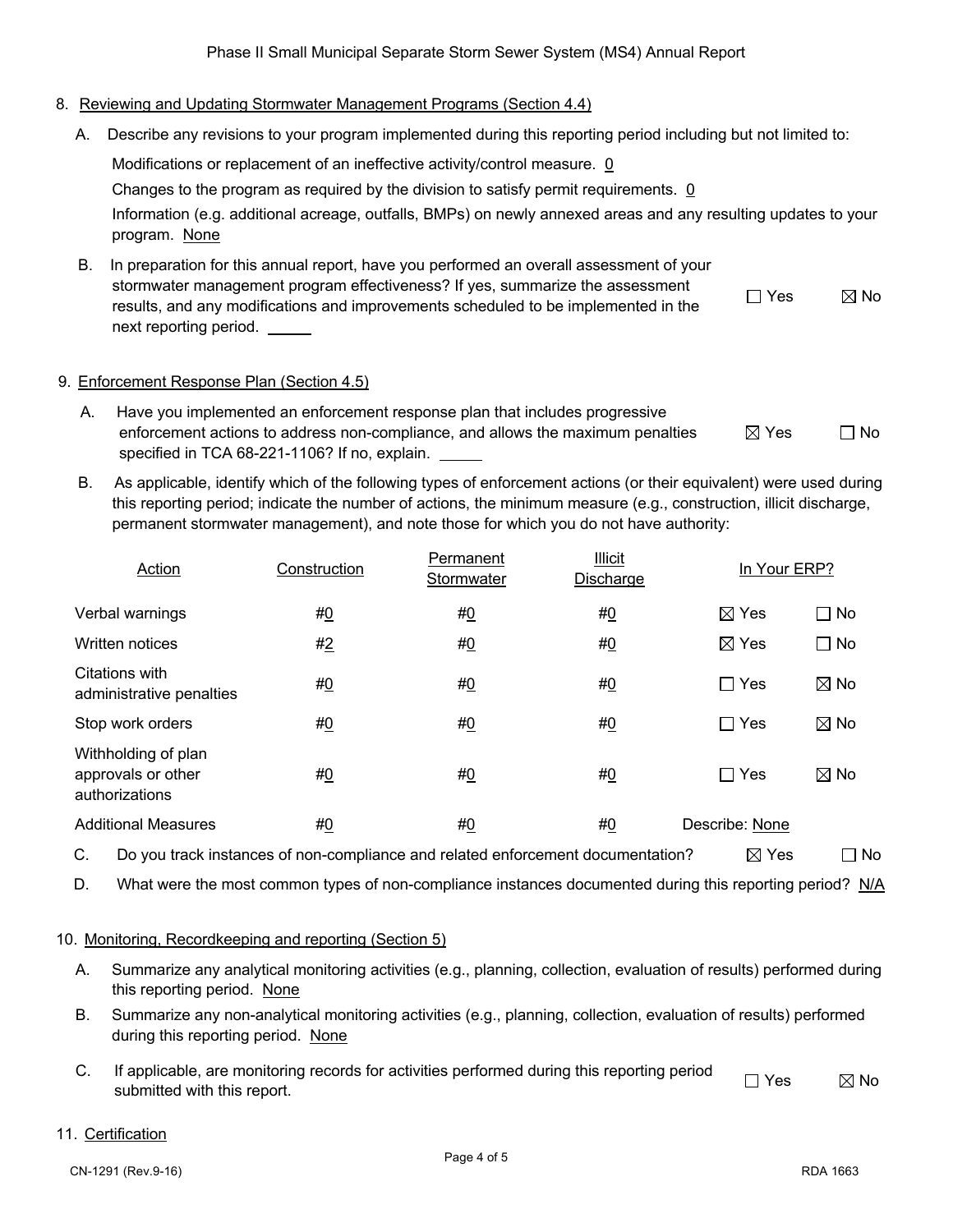# 8. Reviewing and Updating Stormwater Management Programs (Section 4.4)

A. Describe any revisions to your program implemented during this reporting period including but not limited to:

Modifications or replacement of an ineffective activity/control measure. 0

Changes to the program as required by the division to satisfy permit requirements. 0

Information (e.g. additional acreage, outfalls, BMPs) on newly annexed areas and any resulting updates to your program. None

B. In preparation for this annual report, have you performed an overall assessment of your stormwater management program effectiveness? If yes, summarize the assessment results, and any modifications and improvements scheduled to be implemented in the next reporting period.  $\Box$  Yes  $\boxtimes$  No

# 9. Enforcement Response Plan (Section 4.5)

- A. Have you implemented an enforcement response plan that includes progressive enforcement actions to address non-compliance, and allows the maximum penalties specified in TCA 68-221-1106? If no, explain.  $\boxtimes$  Yes  $\Box$  No
- B. As applicable, identify which of the following types of enforcement actions (or their equivalent) were used during this reporting period; indicate the number of actions, the minimum measure (e.g., construction, illicit discharge, permanent stormwater management), and note those for which you do not have authority:

| Action                                                      | Construction | Permanent<br>Stormwater | <b>Illicit</b><br><b>Discharge</b> | In Your ERP?    |                |
|-------------------------------------------------------------|--------------|-------------------------|------------------------------------|-----------------|----------------|
| Verbal warnings                                             | #0           | #0                      | #0                                 | $\boxtimes$ Yes | $\Box$ No      |
| Written notices                                             | #2           | #0                      | #0                                 | $\boxtimes$ Yes | $\Box$ No      |
| Citations with<br>administrative penalties                  | #0           | <u>#0</u>               | #0                                 | $\Box$ Yes      | $\boxtimes$ No |
| Stop work orders                                            | #0           | #0                      | #0                                 | $\Box$ Yes      | $\boxtimes$ No |
| Withholding of plan<br>approvals or other<br>authorizations | #0           | #0                      | #0                                 | $\sqcap$ Yes    | $\boxtimes$ No |
| <b>Additional Measures</b>                                  | <u>#0</u>    | <u>#0</u>               | <u>#0</u>                          | Describe: None  |                |

C. Do you track instances of non-compliance and related enforcement documentation?  $\boxtimes$  Yes  $\Box$  No

D. What were the most common types of non-compliance instances documented during this reporting period? N/A

### 10. Monitoring, Recordkeeping and reporting (Section 5)

- A. Summarize any analytical monitoring activities (e.g., planning, collection, evaluation of results) performed during this reporting period. None
- B. Summarize any non-analytical monitoring activities (e.g., planning, collection, evaluation of results) performed during this reporting period. None
- C. If applicable, are monitoring records for activities performed during this reporting period  $\Box$  Yes  $\boxtimes$  No

### 11. Certification